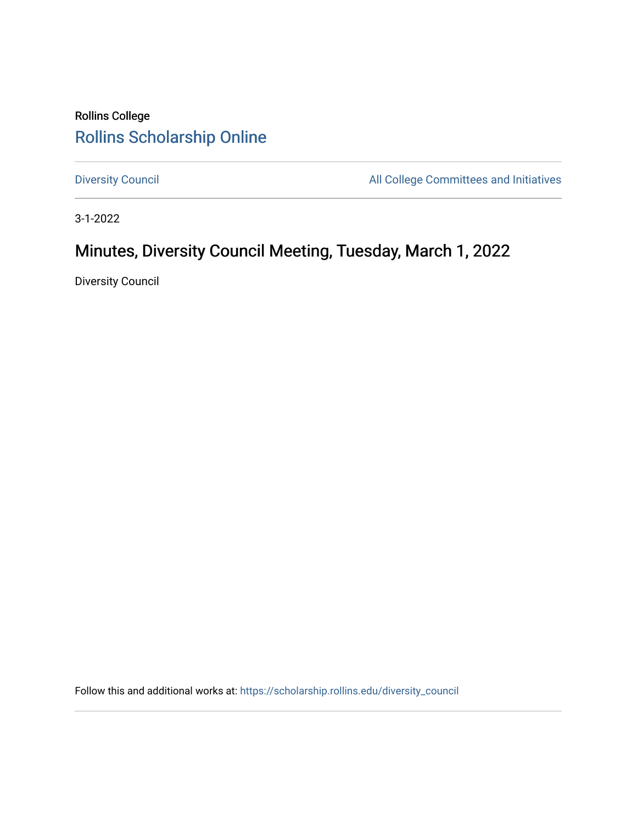# Rollins College [Rollins Scholarship Online](https://scholarship.rollins.edu/)

[Diversity Council](https://scholarship.rollins.edu/diversity_council) **All College Committees and Initiatives** 

3-1-2022

# Minutes, Diversity Council Meeting, Tuesday, March 1, 2022

Diversity Council

Follow this and additional works at: [https://scholarship.rollins.edu/diversity\\_council](https://scholarship.rollins.edu/diversity_council?utm_source=scholarship.rollins.edu%2Fdiversity_council%2F34&utm_medium=PDF&utm_campaign=PDFCoverPages)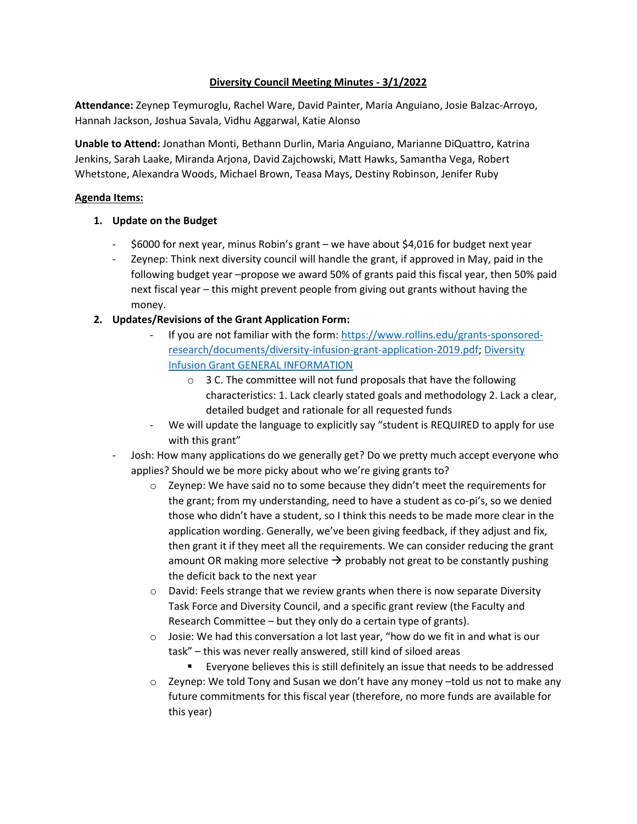### **Diversity Council Meeting Minutes - 3/1/2022**

**Attendance:** Zeynep Teymuroglu, Rachel Ware, David Painter, Maria Anguiano, Josie Balzac-Arroyo, Hannah Jackson, Joshua Savala, Vidhu Aggarwal, Katie Alonso

**Unable to Attend:** Jonathan Monti, Bethann Durlin, Maria Anguiano, Marianne DiQuattro, Katrina Jenkins, Sarah Laake, Miranda Arjona, David Zajchowski, Matt Hawks, Samantha Vega, Robert Whetstone, Alexandra Woods, Michael Brown, Teasa Mays, Destiny Robinson, Jenifer Ruby

#### **Agenda Items:**

#### **1. Update on the Budget**

- \$6000 for next year, minus Robin's grant we have about \$4,016 for budget next year
- Zeynep: Think next diversity council will handle the grant, if approved in May, paid in the following budget year –propose we award 50% of grants paid this fiscal year, then 50% paid next fiscal year – this might prevent people from giving out grants without having the money.

### **2. Updates/Revisions of the Grant Application Form:**

- If you are not familiar with the form: [https://www.rollins.edu/grants-sponsored](https://www.rollins.edu/grants-sponsored-research/documents/diversity-infusion-grant-application-2019.pdf)[research/documents/diversity-infusion-grant-application-2019.pdf; Diversity](https://www.rollins.edu/grants-sponsored-research/documents/diversity-infusion-grant-application-2019.pdf)  [Infusion Grant GENERAL INFORMATION](https://www.rollins.edu/grants-sponsored-research/documents/diversity-infusion-grant-application-2019.pdf)
	- o 3 C. The committee will not fund proposals that have the following characteristics: 1. Lack clearly stated goals and methodology 2. Lack a clear, detailed budget and rationale for all requested funds
- We will update the language to explicitly say "student is REQUIRED to apply for use with this grant"
- Josh: How many applications do we generally get? Do we pretty much accept everyone who applies? Should we be more picky about who we're giving grants to?
	- $\circ$  Zeynep: We have said no to some because they didn't meet the requirements for the grant; from my understanding, need to have a student as co-pi's, so we denied those who didn't have a student, so I think this needs to be made more clear in the application wording. Generally, we've been giving feedback, if they adjust and fix, then grant it if they meet all the requirements. We can consider reducing the grant amount OR making more selective  $\rightarrow$  probably not great to be constantly pushing the deficit back to the next year
	- $\circ$  David: Feels strange that we review grants when there is now separate Diversity Task Force and Diversity Council, and a specific grant review (the Faculty and Research Committee – but they only do a certain type of grants).
	- $\circ$  Josie: We had this conversation a lot last year, "how do we fit in and what is our task" – this was never really answered, still kind of siloed areas
		- Everyone believes this is still definitely an issue that needs to be addressed
	- o Zeynep: We told Tony and Susan we don't have any money –told us not to make any future commitments for this fiscal year (therefore, no more funds are available for this year)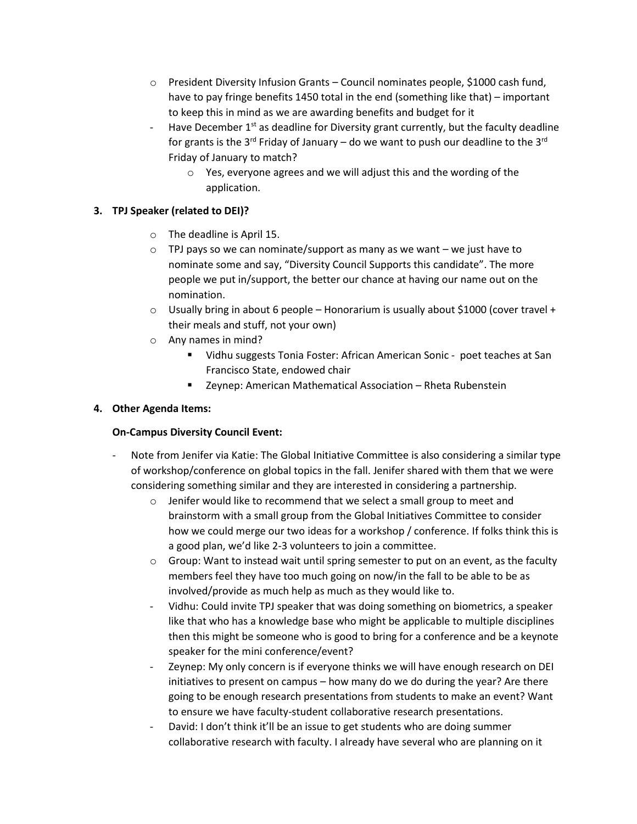- $\circ$  President Diversity Infusion Grants Council nominates people, \$1000 cash fund, have to pay fringe benefits 1450 total in the end (something like that) – important to keep this in mind as we are awarding benefits and budget for it
- Have December  $1<sup>st</sup>$  as deadline for Diversity grant currently, but the faculty deadline for grants is the 3<sup>rd</sup> Friday of January – do we want to push our deadline to the 3<sup>rd</sup> Friday of January to match?
	- o Yes, everyone agrees and we will adjust this and the wording of the application.

# **3. TPJ Speaker (related to DEI)?**

- o The deadline is April 15.
- $\circ$  TPJ pays so we can nominate/support as many as we want we just have to nominate some and say, "Diversity Council Supports this candidate". The more people we put in/support, the better our chance at having our name out on the nomination.
- $\circ$  Usually bring in about 6 people Honorarium is usually about \$1000 (cover travel + their meals and stuff, not your own)
- o Any names in mind?
	- Vidhu suggests Tonia Foster: African American Sonic poet teaches at San Francisco State, endowed chair
	- Zeynep: American Mathematical Association Rheta Rubenstein

## **4. Other Agenda Items:**

### **On-Campus Diversity Council Event:**

- Note from Jenifer via Katie: The Global Initiative Committee is also considering a similar type of workshop/conference on global topics in the fall. Jenifer shared with them that we were considering something similar and they are interested in considering a partnership.
	- o Jenifer would like to recommend that we select a small group to meet and brainstorm with a small group from the Global Initiatives Committee to consider how we could merge our two ideas for a workshop / conference. If folks think this is a good plan, we'd like 2-3 volunteers to join a committee.
	- $\circ$  Group: Want to instead wait until spring semester to put on an event, as the faculty members feel they have too much going on now/in the fall to be able to be as involved/provide as much help as much as they would like to.
	- Vidhu: Could invite TPJ speaker that was doing something on biometrics, a speaker like that who has a knowledge base who might be applicable to multiple disciplines then this might be someone who is good to bring for a conference and be a keynote speaker for the mini conference/event?
	- Zeynep: My only concern is if everyone thinks we will have enough research on DEI initiatives to present on campus – how many do we do during the year? Are there going to be enough research presentations from students to make an event? Want to ensure we have faculty-student collaborative research presentations.
	- David: I don't think it'll be an issue to get students who are doing summer collaborative research with faculty. I already have several who are planning on it